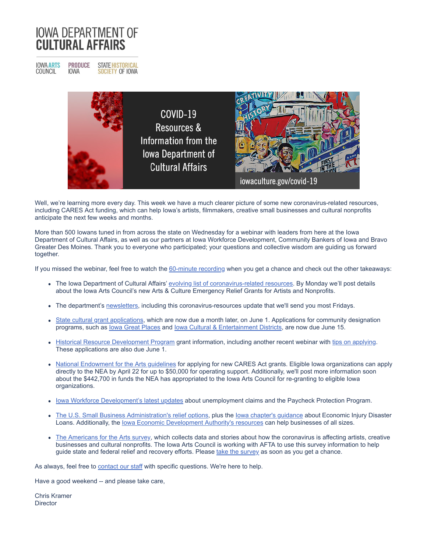## **IOWA DEPARTMENT OF CULTURAL AFFAIRS**

**IOWA ARTS**<br>COUNCIL **PRODUCE STATE HISTORICAL IOWA SOCIETY OF IOWA** 



Well, we're learning more every day. This week we have a much clearer picture of some new coronavirus-related resources, including CARES Act funding, which can help Iowa's artists, filmmakers, creative small businesses and cultural nonprofits anticipate the next few weeks and months.

More than 500 Iowans tuned in from across the state on Wednesday for a webinar with leaders from here at the Iowa Department of Cultural Affairs, as well as our partners at Iowa Workforce Development, Community Bankers of Iowa and Bravo Greater Des Moines. Thank you to everyone who participated; your questions and collective wisdom are guiding us forward together.

If you missed the webinar, feel free to watch the [60-minute recording](http://r20.rs6.net/tn.jsp?f=0015_QTNMHftNbd-u5-JEXU7OCOjtkl5jswoFjxvO3-s-w-S3jwzxtR0TFq5VrwARU68zgSnZmhNTYCosTFm4Ir6pbCVQ2CwjUMXsgjfLNCLBe9DhY-jdLtkEm2BQNp0-t2gE2ELn7-virhOpdBrzneC0Qa4BDiRlD_awUkgycNpVuGMzhBBHX0qydPI2bmM5Wt3dpO3yIr1as=&c=bQ_5sGKCZkXBzHcbc9KqM7pSSLJPZKtmtXangYYZ7mI-LizaEVcXkg==&ch=NhGL7SmL1i4KaJidV_5iERMK0r1YMLPFQszdtTJzsRXMvqq9WeBZfg==) when you get a chance and check out the other takeaways:

- . The Iowa Department of Cultural Affairs' [evolving list of coronavirus-related resources.](http://r20.rs6.net/tn.jsp?f=0015_QTNMHftNbd-u5-JEXU7OCOjtkl5jswoFjxvO3-s-w-S3jwzxtR0ZALd1ZPjfMyx3V4v4kT7sO6u_45uH8g15ykdTgetGo7qQ_ojO1x8kwVnC7A6-FJQn9PyNfGEJh1N0q33XvQx6bfLJt4OdfriinDPCun_crp&c=bQ_5sGKCZkXBzHcbc9KqM7pSSLJPZKtmtXangYYZ7mI-LizaEVcXkg==&ch=NhGL7SmL1i4KaJidV_5iERMK0r1YMLPFQszdtTJzsRXMvqq9WeBZfg==) By Monday we'll post details about the Iowa Arts Council's new Arts & Culture Emergency Relief Grants for Artists and Nonprofits.
- The department's [newsletters,](http://r20.rs6.net/tn.jsp?f=0015_QTNMHftNbd-u5-JEXU7OCOjtkl5jswoFjxvO3-s-w-S3jwzxtR0TFq5VrwARU62wQE52C2lvNLo-dW083CTRVroi_Aqjd8qjXYHzKF57bftYqEcAgYbLrLSYIBmGQS6IoGxrNokJaYmsTR0UoWUQZMFQln_bJ8oQf-EVPcqaQ7FZ8i79WKR5Z8j3BulCp0lJBxNXOi6sBBj3sViIOKGhs0F3iGMvhK9fEfz399DstmwZIcZn2SST53iZNW1A_SZb5X2nr4Gy50dywXI0Fiwtju2phx8q-EP342LaSzrNFd4NnXIHWSBYTkR1Dn_rhygBq8Img0W82T5TgWimz57ztD1N-wh0IE5RkF2Fwwh7nwwU4tdjY3VhmMi7eZvYyxGADZgOSEwh4eMI1m9esn1F5zvSUSJrOTXutJQftw8tUv9AeDGimV7Q==&c=bQ_5sGKCZkXBzHcbc9KqM7pSSLJPZKtmtXangYYZ7mI-LizaEVcXkg==&ch=NhGL7SmL1i4KaJidV_5iERMK0r1YMLPFQszdtTJzsRXMvqq9WeBZfg==) including this coronavirus-resources update that we'll send you most Fridays.
- [State cultural grant applications](http://r20.rs6.net/tn.jsp?f=0015_QTNMHftNbd-u5-JEXU7OCOjtkl5jswoFjxvO3-s-w-S3jwzxtR0TFq5VrwARU6s2d-TvN4IrXwqcOHpwEhCxcHzf8h3CT50I7eIKNOPP7Jaxi2nvqmppaZlQ3MBRqwSpwAM3ntGXU-cHg_jk4bJzoGs98bw8UjrhxMpeukZB-icLmzIfYuyw==&c=bQ_5sGKCZkXBzHcbc9KqM7pSSLJPZKtmtXangYYZ7mI-LizaEVcXkg==&ch=NhGL7SmL1i4KaJidV_5iERMK0r1YMLPFQszdtTJzsRXMvqq9WeBZfg==), which are now due a month later, on June 1. Applications for community designation programs, such as lowa Great Places and lowa Cultural & Entertainment Districts, are now due June 15.
- [Historical Resource Development Program](http://r20.rs6.net/tn.jsp?f=0015_QTNMHftNbd-u5-JEXU7OCOjtkl5jswoFjxvO3-s-w-S3jwzxtR0cxnRw3Vv9DqB0MKzOAgNb_nDtP99et01WEJ0inkqJpcMxHvY2qy5atfhcvqkoIn_K5bN-0rP6tc-WABp_ZmdgKT2hM1vH1Zzhl_zHA7gZmM8H0hPbwvhzgaG99KatAWN6TWB1JFBYzp3fG6GupJRFl29wCiF3_NRezaCokHd6xmNZzM0kAZrYCAw1-yE0ewog==&c=bQ_5sGKCZkXBzHcbc9KqM7pSSLJPZKtmtXangYYZ7mI-LizaEVcXkg==&ch=NhGL7SmL1i4KaJidV_5iERMK0r1YMLPFQszdtTJzsRXMvqq9WeBZfg==) grant information, including another recent webinar with [tips on applying](http://r20.rs6.net/tn.jsp?f=0015_QTNMHftNbd-u5-JEXU7OCOjtkl5jswoFjxvO3-s-w-S3jwzxtR0TFq5VrwARU6Xg3AR_argM4LBeTfQ55N9y1AgWgHksy803jcdtV3J5eiTnSAepFAIUlRmTmRXPfKhebQbBKNaMMXGstgonJyvGblNrr907ahMoHiSNFTXvgIEndrOaZsXC0aSEEaPI68xMWy1k2N0GI=&c=bQ_5sGKCZkXBzHcbc9KqM7pSSLJPZKtmtXangYYZ7mI-LizaEVcXkg==&ch=NhGL7SmL1i4KaJidV_5iERMK0r1YMLPFQszdtTJzsRXMvqq9WeBZfg==). These applications are also due June 1.
- [National Endowment for the Arts guidelines](http://r20.rs6.net/tn.jsp?f=0015_QTNMHftNbd-u5-JEXU7OCOjtkl5jswoFjxvO3-s-w-S3jwzxtR0XesaP7-9IPXUl42A2H9YbfOMnWIw4smbkP8wmWSRjSX057PmIFlo-o6siUI-Y7wn871upcI9MB5BanKRkltFO8=&c=bQ_5sGKCZkXBzHcbc9KqM7pSSLJPZKtmtXangYYZ7mI-LizaEVcXkg==&ch=NhGL7SmL1i4KaJidV_5iERMK0r1YMLPFQszdtTJzsRXMvqq9WeBZfg==) for applying for new CARES Act grants. Eligible Iowa organizations can apply directly to the NEA by April 22 for up to \$50,000 for operating support. Additionally, we'll post more information soon about the \$442,700 in funds the NEA has appropriated to the Iowa Arts Council for re-granting to eligible Iowa organizations.
- lowa Workforce Development's latest updates about unemployment claims and the Paycheck Protection Program.
- [The U.S. Small Business Administration's relief options,](http://r20.rs6.net/tn.jsp?f=0015_QTNMHftNbd-u5-JEXU7OCOjtkl5jswoFjxvO3-s-w-S3jwzxtR0TFq5VrwARU6zYFruJhsKP-4_FcdH2zmFoRzLRD98VNZFcIUHx4s2Ikh4zwXI2cOYgjcODrI0H811Id6SOxDnBSTxVCRAlOpEIsOYYNqtkzxNHSLiTFePtIgK70FY2b1tr-uEf2vS2VNK6nF9d-Oe0Vs1i8Q2jEcjg==&c=bQ_5sGKCZkXBzHcbc9KqM7pSSLJPZKtmtXangYYZ7mI-LizaEVcXkg==&ch=NhGL7SmL1i4KaJidV_5iERMK0r1YMLPFQszdtTJzsRXMvqq9WeBZfg==) plus the lowa chapter's guidance about Economic Injury Disaster Loans. Additionally, the lowa Economic Development Authority's resources can help businesses of all sizes.
- [The Americans for the Arts survey](http://r20.rs6.net/tn.jsp?f=0015_QTNMHftNbd-u5-JEXU7OCOjtkl5jswoFjxvO3-s-w-S3jwzxtR0ZALd1ZPjfMy-eOsW0A03SV4OZlKVnNTTjs7iaTPv8hkl7yEnHGZLXivnwMhUKsB2r61rj7wd7YCK_-ddC2SNr62vNc06xCYDYRpuPCQG4Dd2M0LtY6Dpvntyle3eLLfoPuK368HUQdJ-VpenksqYVs=&c=bQ_5sGKCZkXBzHcbc9KqM7pSSLJPZKtmtXangYYZ7mI-LizaEVcXkg==&ch=NhGL7SmL1i4KaJidV_5iERMK0r1YMLPFQszdtTJzsRXMvqq9WeBZfg==), which collects data and stories about how the coronavirus is affecting artists, creative businesses and cultural nonprofits. The Iowa Arts Council is working with AFTA to use this survey information to help guide state and federal relief and recovery efforts. Please [take the survey](http://r20.rs6.net/tn.jsp?f=0015_QTNMHftNbd-u5-JEXU7OCOjtkl5jswoFjxvO3-s-w-S3jwzxtR0ZALd1ZPjfMy-eOsW0A03SV4OZlKVnNTTjs7iaTPv8hkl7yEnHGZLXivnwMhUKsB2r61rj7wd7YCK_-ddC2SNr62vNc06xCYDYRpuPCQG4Dd2M0LtY6Dpvntyle3eLLfoPuK368HUQdJ-VpenksqYVs=&c=bQ_5sGKCZkXBzHcbc9KqM7pSSLJPZKtmtXangYYZ7mI-LizaEVcXkg==&ch=NhGL7SmL1i4KaJidV_5iERMK0r1YMLPFQszdtTJzsRXMvqq9WeBZfg==) as soon as you get a chance.

As always, feel free to **[contact our staff](http://r20.rs6.net/tn.jsp?f=0015_QTNMHftNbd-u5-JEXU7OCOjtkl5jswoFjxvO3-s-w-S3jwzxtR0ZALd1ZPjfMy0YxSTNmzDoaw4ykS5w6xbQKN74ZvkS_-GnrN5sJRaRRZBhQqwmtTbE6Qxvt7q_vj_kiQ7uTjkeezpXV8VnpP2XLKn9vSLHSgrNdeiy0YVWNTh0HcTZ8Flg==&c=bQ_5sGKCZkXBzHcbc9KqM7pSSLJPZKtmtXangYYZ7mI-LizaEVcXkg==&ch=NhGL7SmL1i4KaJidV_5iERMK0r1YMLPFQszdtTJzsRXMvqq9WeBZfg==)** with specific questions. We're here to help.

Have a good weekend -- and please take care,

Chris Kramer **Director**